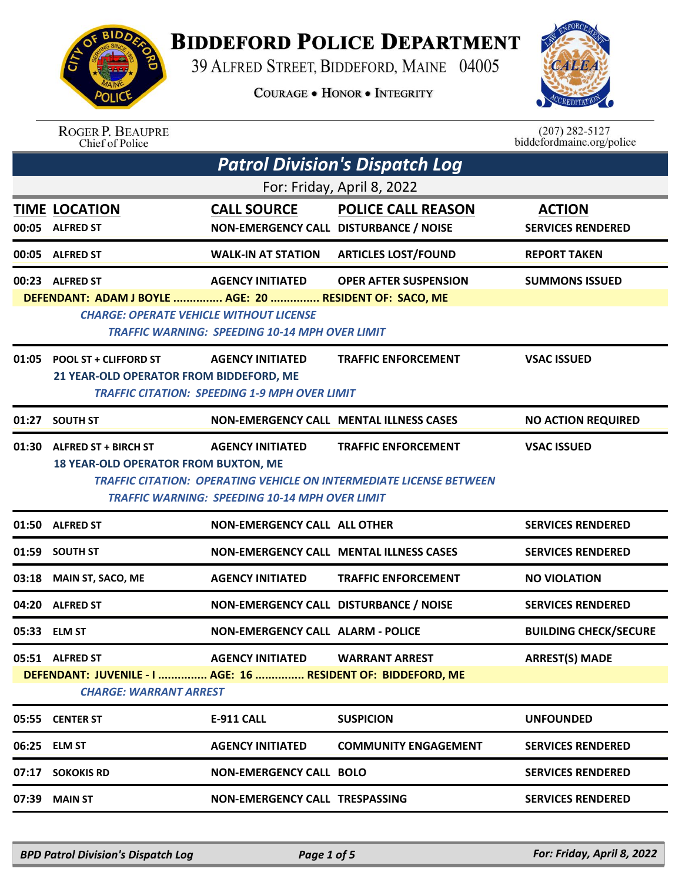

## **BIDDEFORD POLICE DEPARTMENT**

39 ALFRED STREET, BIDDEFORD, MAINE 04005

**COURAGE . HONOR . INTEGRITY** 



| <b>ROGER P. BEAUPRE</b> |  |
|-------------------------|--|
| Chief of Police         |  |

 $(207)$  282-5127 biddefordmaine.org/police

| <b>Patrol Division's Dispatch Log</b> |                                                                                                                              |                                                                                                                                          |                                                                                                   |                                           |
|---------------------------------------|------------------------------------------------------------------------------------------------------------------------------|------------------------------------------------------------------------------------------------------------------------------------------|---------------------------------------------------------------------------------------------------|-------------------------------------------|
|                                       |                                                                                                                              |                                                                                                                                          | For: Friday, April 8, 2022                                                                        |                                           |
|                                       | <b>TIME LOCATION</b><br>00:05 ALFRED ST                                                                                      | <b>CALL SOURCE</b><br>NON-EMERGENCY CALL DISTURBANCE / NOISE                                                                             | <b>POLICE CALL REASON</b>                                                                         | <b>ACTION</b><br><b>SERVICES RENDERED</b> |
|                                       | 00:05 ALFRED ST                                                                                                              | <b>WALK-IN AT STATION</b>                                                                                                                | <b>ARTICLES LOST/FOUND</b>                                                                        | <b>REPORT TAKEN</b>                       |
|                                       | 00:23 ALFRED ST<br>DEFENDANT: ADAM J BOYLE  AGE: 20  RESIDENT OF: SACO, ME<br><b>CHARGE: OPERATE VEHICLE WITHOUT LICENSE</b> | <b>AGENCY INITIATED</b>                                                                                                                  | <b>OPER AFTER SUSPENSION</b>                                                                      | <b>SUMMONS ISSUED</b>                     |
|                                       | 01:05 POOL ST + CLIFFORD ST<br>21 YEAR-OLD OPERATOR FROM BIDDEFORD, ME                                                       | <b>TRAFFIC WARNING: SPEEDING 10-14 MPH OVER LIMIT</b><br><b>AGENCY INITIATED</b><br><b>TRAFFIC CITATION: SPEEDING 1-9 MPH OVER LIMIT</b> | <b>TRAFFIC ENFORCEMENT</b>                                                                        | <b>VSAC ISSUED</b>                        |
| 01:27                                 | <b>SOUTH ST</b>                                                                                                              |                                                                                                                                          | NON-EMERGENCY CALL MENTAL ILLNESS CASES                                                           | <b>NO ACTION REQUIRED</b>                 |
|                                       | 01:30 ALFRED ST + BIRCH ST<br><b>18 YEAR-OLD OPERATOR FROM BUXTON, ME</b>                                                    | <b>AGENCY INITIATED</b>                                                                                                                  | <b>TRAFFIC ENFORCEMENT</b><br>TRAFFIC CITATION: OPERATING VEHICLE ON INTERMEDIATE LICENSE BETWEEN | <b>VSAC ISSUED</b>                        |
|                                       |                                                                                                                              | TRAFFIC WARNING: SPEEDING 10-14 MPH OVER LIMIT                                                                                           |                                                                                                   |                                           |
|                                       | 01:50 ALFRED ST                                                                                                              | <b>NON-EMERGENCY CALL ALL OTHER</b>                                                                                                      |                                                                                                   | <b>SERVICES RENDERED</b>                  |
| 01:59                                 | <b>SOUTH ST</b>                                                                                                              |                                                                                                                                          | NON-EMERGENCY CALL MENTAL ILLNESS CASES                                                           | <b>SERVICES RENDERED</b>                  |
| 03:18                                 | MAIN ST, SACO, ME                                                                                                            | <b>AGENCY INITIATED</b>                                                                                                                  | <b>TRAFFIC ENFORCEMENT</b>                                                                        | <b>NO VIOLATION</b>                       |
| 04:20                                 | <b>ALFRED ST</b>                                                                                                             | NON-EMERGENCY CALL DISTURBANCE / NOISE                                                                                                   |                                                                                                   | <b>SERVICES RENDERED</b>                  |
|                                       | 05:33 ELM ST                                                                                                                 | <b>NON-EMERGENCY CALL ALARM - POLICE</b>                                                                                                 |                                                                                                   | <b>BUILDING CHECK/SECURE</b>              |
|                                       | 05:51 ALFRED ST<br>DEFENDANT: JUVENILE - I  AGE: 16  RESIDENT OF: BIDDEFORD, ME<br><b>CHARGE: WARRANT ARREST</b>             | <b>AGENCY INITIATED</b>                                                                                                                  | <b>WARRANT ARREST</b>                                                                             | <b>ARREST(S) MADE</b>                     |
|                                       | 05:55 CENTER ST                                                                                                              | E-911 CALL                                                                                                                               | <b>SUSPICION</b>                                                                                  | <b>UNFOUNDED</b>                          |
|                                       | 06:25 ELM ST                                                                                                                 | <b>AGENCY INITIATED</b>                                                                                                                  | <b>COMMUNITY ENGAGEMENT</b>                                                                       | <b>SERVICES RENDERED</b>                  |
| 07:17                                 | <b>SOKOKIS RD</b>                                                                                                            | <b>NON-EMERGENCY CALL BOLO</b>                                                                                                           |                                                                                                   | <b>SERVICES RENDERED</b>                  |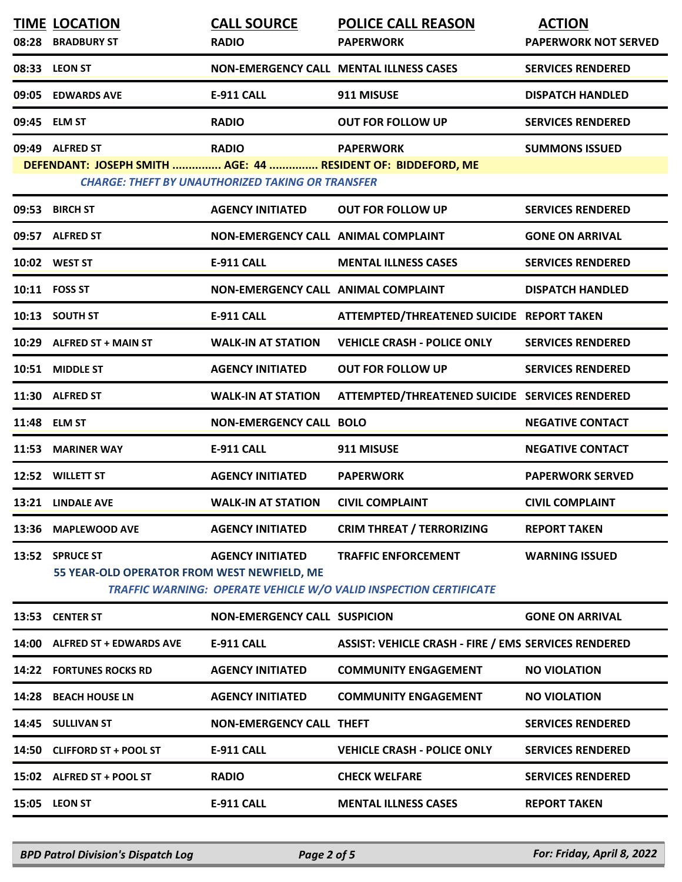| 08:28 | <b>TIME LOCATION</b><br><b>BRADBURY ST</b>                                      | <b>CALL SOURCE</b><br><b>RADIO</b>                                      | <b>POLICE CALL REASON</b><br><b>PAPERWORK</b>                                                   | <b>ACTION</b><br><b>PAPERWORK NOT SERVED</b> |
|-------|---------------------------------------------------------------------------------|-------------------------------------------------------------------------|-------------------------------------------------------------------------------------------------|----------------------------------------------|
|       | 08:33 LEON ST                                                                   |                                                                         | <b>NON-EMERGENCY CALL MENTAL ILLNESS CASES</b>                                                  | <b>SERVICES RENDERED</b>                     |
|       | 09:05 EDWARDS AVE                                                               | <b>E-911 CALL</b>                                                       | 911 MISUSE                                                                                      | <b>DISPATCH HANDLED</b>                      |
|       | 09:45 ELM ST                                                                    | <b>RADIO</b>                                                            | <b>OUT FOR FOLLOW UP</b>                                                                        | <b>SERVICES RENDERED</b>                     |
|       | 09:49 ALFRED ST<br>DEFENDANT: JOSEPH SMITH  AGE: 44  RESIDENT OF: BIDDEFORD, ME | <b>RADIO</b><br><b>CHARGE: THEFT BY UNAUTHORIZED TAKING OR TRANSFER</b> | <b>PAPERWORK</b>                                                                                | <b>SUMMONS ISSUED</b>                        |
|       | 09:53 BIRCH ST                                                                  | <b>AGENCY INITIATED</b>                                                 | <b>OUT FOR FOLLOW UP</b>                                                                        | <b>SERVICES RENDERED</b>                     |
|       | 09:57 ALFRED ST                                                                 | <b>NON-EMERGENCY CALL ANIMAL COMPLAINT</b>                              |                                                                                                 | <b>GONE ON ARRIVAL</b>                       |
|       | 10:02 WEST ST                                                                   | <b>E-911 CALL</b>                                                       | <b>MENTAL ILLNESS CASES</b>                                                                     | <b>SERVICES RENDERED</b>                     |
|       | 10:11 FOSS ST                                                                   | NON-EMERGENCY CALL ANIMAL COMPLAINT                                     |                                                                                                 | <b>DISPATCH HANDLED</b>                      |
|       | 10:13 SOUTH ST                                                                  | <b>E-911 CALL</b>                                                       | ATTEMPTED/THREATENED SUICIDE REPORT TAKEN                                                       |                                              |
|       | 10:29 ALFRED ST + MAIN ST                                                       | <b>WALK-IN AT STATION</b>                                               | <b>VEHICLE CRASH - POLICE ONLY</b>                                                              | <b>SERVICES RENDERED</b>                     |
|       | 10:51 MIDDLE ST                                                                 | <b>AGENCY INITIATED</b>                                                 | <b>OUT FOR FOLLOW UP</b>                                                                        | <b>SERVICES RENDERED</b>                     |
|       | 11:30 ALFRED ST                                                                 | <b>WALK-IN AT STATION</b>                                               | ATTEMPTED/THREATENED SUICIDE SERVICES RENDERED                                                  |                                              |
|       | 11:48 ELM ST                                                                    | <b>NON-EMERGENCY CALL BOLO</b>                                          |                                                                                                 | <b>NEGATIVE CONTACT</b>                      |
| 11:53 | <b>MARINER WAY</b>                                                              | <b>E-911 CALL</b>                                                       | 911 MISUSE                                                                                      | <b>NEGATIVE CONTACT</b>                      |
|       | 12:52 WILLETT ST                                                                | <b>AGENCY INITIATED</b>                                                 | <b>PAPERWORK</b>                                                                                | <b>PAPERWORK SERVED</b>                      |
|       | 13:21 LINDALE AVE                                                               | <b>WALK-IN AT STATION</b>                                               | <b>CIVIL COMPLAINT</b>                                                                          | <b>CIVIL COMPLAINT</b>                       |
|       | 13:36 MAPLEWOOD AVE                                                             | <b>AGENCY INITIATED</b>                                                 | <b>CRIM THREAT / TERRORIZING</b>                                                                | <b>REPORT TAKEN</b>                          |
|       | 13:52 SPRUCE ST<br>55 YEAR-OLD OPERATOR FROM WEST NEWFIELD, ME                  | <b>AGENCY INITIATED</b>                                                 | <b>TRAFFIC ENFORCEMENT</b><br>TRAFFIC WARNING: OPERATE VEHICLE W/O VALID INSPECTION CERTIFICATE | <b>WARNING ISSUED</b>                        |
|       | 13:53 CENTER ST                                                                 | <b>NON-EMERGENCY CALL SUSPICION</b>                                     |                                                                                                 | <b>GONE ON ARRIVAL</b>                       |
|       | 14:00 ALFRED ST + EDWARDS AVE                                                   | <b>E-911 CALL</b>                                                       | <b>ASSIST: VEHICLE CRASH - FIRE / EMS SERVICES RENDERED</b>                                     |                                              |
|       | <b>14:22 FORTUNES ROCKS RD</b>                                                  | <b>AGENCY INITIATED</b>                                                 | <b>COMMUNITY ENGAGEMENT</b>                                                                     | <b>NO VIOLATION</b>                          |
|       | 14:28 BEACH HOUSE LN                                                            | <b>AGENCY INITIATED</b>                                                 | <b>COMMUNITY ENGAGEMENT</b>                                                                     | <b>NO VIOLATION</b>                          |
|       | 14:45 SULLIVAN ST                                                               | <b>NON-EMERGENCY CALL THEFT</b>                                         |                                                                                                 | <b>SERVICES RENDERED</b>                     |
|       | 14:50 CLIFFORD ST + POOL ST                                                     | <b>E-911 CALL</b>                                                       | <b>VEHICLE CRASH - POLICE ONLY</b>                                                              | <b>SERVICES RENDERED</b>                     |
|       | 15:02 ALFRED ST + POOL ST                                                       | <b>RADIO</b>                                                            | <b>CHECK WELFARE</b>                                                                            | <b>SERVICES RENDERED</b>                     |
|       | 15:05 LEON ST                                                                   | <b>E-911 CALL</b>                                                       | <b>MENTAL ILLNESS CASES</b>                                                                     | <b>REPORT TAKEN</b>                          |
|       |                                                                                 |                                                                         |                                                                                                 |                                              |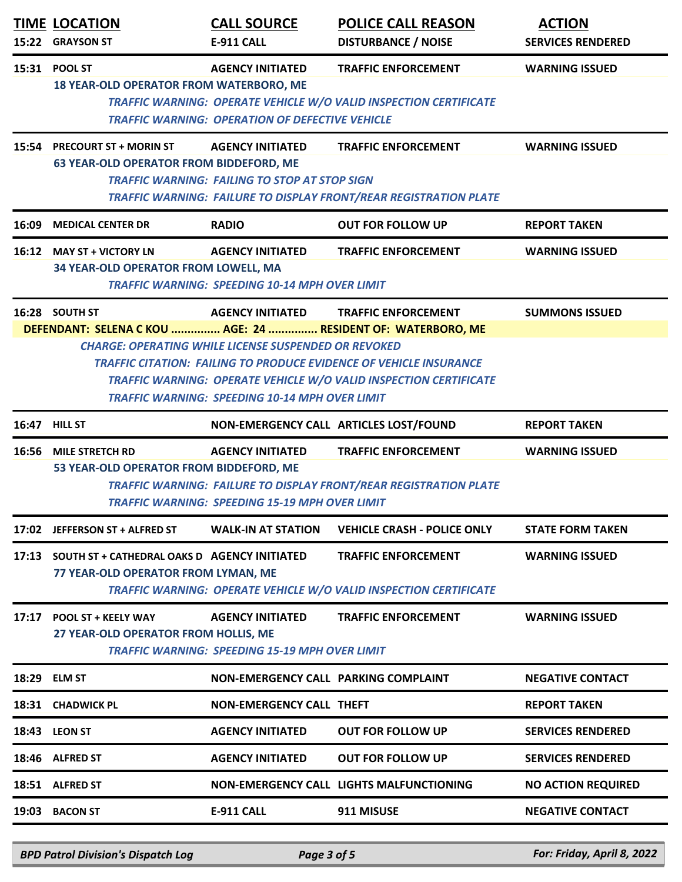|       | <b>TIME LOCATION</b><br>15:22 GRAYSON ST                                                                                                                                                                                                                                                                                               | <b>CALL SOURCE</b><br>E-911 CALL                                                  | <b>POLICE CALL REASON</b><br><b>DISTURBANCE / NOISE</b>                                         | <b>ACTION</b><br><b>SERVICES RENDERED</b> |  |
|-------|----------------------------------------------------------------------------------------------------------------------------------------------------------------------------------------------------------------------------------------------------------------------------------------------------------------------------------------|-----------------------------------------------------------------------------------|-------------------------------------------------------------------------------------------------|-------------------------------------------|--|
|       | 15:31 POOL ST<br><b>18 YEAR-OLD OPERATOR FROM WATERBORO, ME</b>                                                                                                                                                                                                                                                                        | <b>AGENCY INITIATED</b><br><b>TRAFFIC WARNING: OPERATION OF DEFECTIVE VEHICLE</b> | <b>TRAFFIC ENFORCEMENT</b><br>TRAFFIC WARNING: OPERATE VEHICLE W/O VALID INSPECTION CERTIFICATE | <b>WARNING ISSUED</b>                     |  |
| 15:54 | <b>PRECOURT ST + MORIN ST</b><br><b>63 YEAR-OLD OPERATOR FROM BIDDEFORD, ME</b>                                                                                                                                                                                                                                                        | <b>AGENCY INITIATED</b><br><b>TRAFFIC WARNING: FAILING TO STOP AT STOP SIGN</b>   | <b>TRAFFIC ENFORCEMENT</b><br>TRAFFIC WARNING: FAILURE TO DISPLAY FRONT/REAR REGISTRATION PLATE | <b>WARNING ISSUED</b>                     |  |
| 16:09 | <b>MEDICAL CENTER DR</b>                                                                                                                                                                                                                                                                                                               | <b>RADIO</b>                                                                      | <b>OUT FOR FOLLOW UP</b>                                                                        | <b>REPORT TAKEN</b>                       |  |
|       | 16:12 MAY ST + VICTORY LN<br>34 YEAR-OLD OPERATOR FROM LOWELL, MA                                                                                                                                                                                                                                                                      | <b>AGENCY INITIATED</b><br><b>TRAFFIC WARNING: SPEEDING 10-14 MPH OVER LIMIT</b>  | <b>TRAFFIC ENFORCEMENT</b>                                                                      | <b>WARNING ISSUED</b>                     |  |
|       | 16:28 SOUTH ST                                                                                                                                                                                                                                                                                                                         | <b>AGENCY INITIATED</b>                                                           | <b>TRAFFIC ENFORCEMENT</b>                                                                      | <b>SUMMONS ISSUED</b>                     |  |
|       | DEFENDANT: SELENA C KOU  AGE: 24  RESIDENT OF: WATERBORO, ME<br><b>CHARGE: OPERATING WHILE LICENSE SUSPENDED OR REVOKED</b><br><b>TRAFFIC CITATION: FAILING TO PRODUCE EVIDENCE OF VEHICLE INSURANCE</b><br>TRAFFIC WARNING: OPERATE VEHICLE W/O VALID INSPECTION CERTIFICATE<br><b>TRAFFIC WARNING: SPEEDING 10-14 MPH OVER LIMIT</b> |                                                                                   |                                                                                                 |                                           |  |
| 16:47 | <b>HILL ST</b>                                                                                                                                                                                                                                                                                                                         |                                                                                   | NON-EMERGENCY CALL ARTICLES LOST/FOUND                                                          | <b>REPORT TAKEN</b>                       |  |
|       | 16:56 MILE STRETCH RD<br>53 YEAR-OLD OPERATOR FROM BIDDEFORD, ME                                                                                                                                                                                                                                                                       | <b>AGENCY INITIATED</b><br><b>TRAFFIC WARNING: SPEEDING 15-19 MPH OVER LIMIT</b>  | <b>TRAFFIC ENFORCEMENT</b><br>TRAFFIC WARNING: FAILURE TO DISPLAY FRONT/REAR REGISTRATION PLATE | <b>WARNING ISSUED</b>                     |  |
|       | 17:02 JEFFERSON ST + ALFRED ST                                                                                                                                                                                                                                                                                                         | <b>WALK-IN AT STATION</b>                                                         | <b>VEHICLE CRASH - POLICE ONLY</b>                                                              | <b>STATE FORM TAKEN</b>                   |  |
| 17:13 | SOUTH ST + CATHEDRAL OAKS D AGENCY INITIATED<br>77 YEAR-OLD OPERATOR FROM LYMAN, ME                                                                                                                                                                                                                                                    |                                                                                   | <b>TRAFFIC ENFORCEMENT</b><br>TRAFFIC WARNING: OPERATE VEHICLE W/O VALID INSPECTION CERTIFICATE | <b>WARNING ISSUED</b>                     |  |
| 17:17 | <b>POOL ST + KEELY WAY</b><br>27 YEAR-OLD OPERATOR FROM HOLLIS, ME                                                                                                                                                                                                                                                                     | <b>AGENCY INITIATED</b><br><b>TRAFFIC WARNING: SPEEDING 15-19 MPH OVER LIMIT</b>  | <b>TRAFFIC ENFORCEMENT</b>                                                                      | <b>WARNING ISSUED</b>                     |  |
|       | 18:29 ELM ST                                                                                                                                                                                                                                                                                                                           | NON-EMERGENCY CALL PARKING COMPLAINT                                              |                                                                                                 | <b>NEGATIVE CONTACT</b>                   |  |
|       | 18:31 CHADWICK PL                                                                                                                                                                                                                                                                                                                      | NON-EMERGENCY CALL THEFT                                                          |                                                                                                 | <b>REPORT TAKEN</b>                       |  |
|       | <b>18:43 LEON ST</b>                                                                                                                                                                                                                                                                                                                   | <b>AGENCY INITIATED</b>                                                           | <b>OUT FOR FOLLOW UP</b>                                                                        | <b>SERVICES RENDERED</b>                  |  |
|       | 18:46 ALFRED ST                                                                                                                                                                                                                                                                                                                        | <b>AGENCY INITIATED</b>                                                           | <b>OUT FOR FOLLOW UP</b>                                                                        | <b>SERVICES RENDERED</b>                  |  |
|       | 18:51 ALFRED ST                                                                                                                                                                                                                                                                                                                        |                                                                                   | <b>NON-EMERGENCY CALL LIGHTS MALFUNCTIONING</b>                                                 | <b>NO ACTION REQUIRED</b>                 |  |
|       | 19:03 BACON ST                                                                                                                                                                                                                                                                                                                         | <b>E-911 CALL</b>                                                                 | 911 MISUSE                                                                                      | <b>NEGATIVE CONTACT</b>                   |  |

*BPD Patrol Division's Dispatch Log Page 3 of 5 For: Friday, April 8, 2022*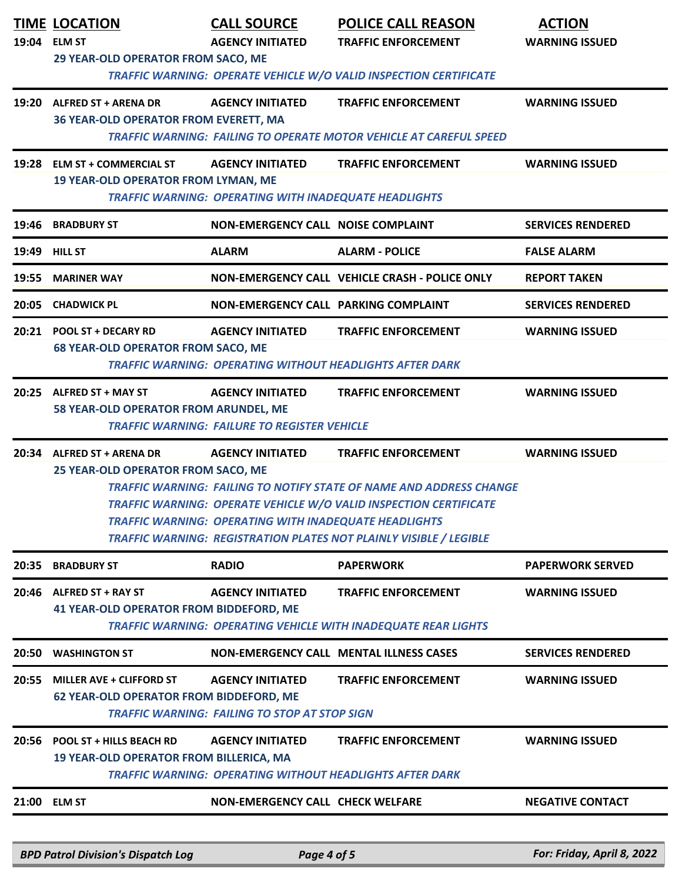| 19:04 | <b>TIME LOCATION</b><br><b>ELM ST</b><br>29 YEAR-OLD OPERATOR FROM SACO, ME       | <b>CALL SOURCE</b><br><b>AGENCY INITIATED</b>                                           | <b>POLICE CALL REASON</b><br><b>TRAFFIC ENFORCEMENT</b>                                                                                                                                                                                             | <b>ACTION</b><br><b>WARNING ISSUED</b> |
|-------|-----------------------------------------------------------------------------------|-----------------------------------------------------------------------------------------|-----------------------------------------------------------------------------------------------------------------------------------------------------------------------------------------------------------------------------------------------------|----------------------------------------|
|       | 19:20 ALFRED ST + ARENA DR<br>36 YEAR-OLD OPERATOR FROM EVERETT, MA               | <b>AGENCY INITIATED</b>                                                                 | TRAFFIC WARNING: OPERATE VEHICLE W/O VALID INSPECTION CERTIFICATE<br><b>TRAFFIC ENFORCEMENT</b><br><b>TRAFFIC WARNING: FAILING TO OPERATE MOTOR VEHICLE AT CAREFUL SPEED</b>                                                                        | <b>WARNING ISSUED</b>                  |
|       | 19:28 ELM ST + COMMERCIAL ST<br><b>19 YEAR-OLD OPERATOR FROM LYMAN, ME</b>        | <b>AGENCY INITIATED</b><br><b>TRAFFIC WARNING: OPERATING WITH INADEQUATE HEADLIGHTS</b> | <b>TRAFFIC ENFORCEMENT</b>                                                                                                                                                                                                                          | <b>WARNING ISSUED</b>                  |
| 19:46 | <b>BRADBURY ST</b>                                                                | <b>NON-EMERGENCY CALL NOISE COMPLAINT</b>                                               |                                                                                                                                                                                                                                                     | <b>SERVICES RENDERED</b>               |
|       | <b>19:49 HILL ST</b>                                                              | <b>ALARM</b>                                                                            | <b>ALARM - POLICE</b>                                                                                                                                                                                                                               | <b>FALSE ALARM</b>                     |
| 19:55 | <b>MARINER WAY</b>                                                                |                                                                                         | NON-EMERGENCY CALL VEHICLE CRASH - POLICE ONLY                                                                                                                                                                                                      | <b>REPORT TAKEN</b>                    |
|       | 20:05 CHADWICK PL                                                                 | NON-EMERGENCY CALL PARKING COMPLAINT                                                    |                                                                                                                                                                                                                                                     | <b>SERVICES RENDERED</b>               |
|       | 20:21 POOL ST + DECARY RD<br><b>68 YEAR-OLD OPERATOR FROM SACO, ME</b>            | <b>AGENCY INITIATED</b>                                                                 | <b>TRAFFIC ENFORCEMENT</b><br><b>TRAFFIC WARNING: OPERATING WITHOUT HEADLIGHTS AFTER DARK</b>                                                                                                                                                       | <b>WARNING ISSUED</b>                  |
|       | 20:25 ALFRED ST + MAY ST<br>58 YEAR-OLD OPERATOR FROM ARUNDEL, ME                 | <b>AGENCY INITIATED</b><br><b>TRAFFIC WARNING: FAILURE TO REGISTER VEHICLE</b>          | <b>TRAFFIC ENFORCEMENT</b>                                                                                                                                                                                                                          | <b>WARNING ISSUED</b>                  |
| 20:34 | <b>ALFRED ST + ARENA DR</b><br>25 YEAR-OLD OPERATOR FROM SACO, ME                 | <b>AGENCY INITIATED</b><br><b>TRAFFIC WARNING: OPERATING WITH INADEQUATE HEADLIGHTS</b> | <b>TRAFFIC ENFORCEMENT</b><br>TRAFFIC WARNING: FAILING TO NOTIFY STATE OF NAME AND ADDRESS CHANGE<br>TRAFFIC WARNING: OPERATE VEHICLE W/O VALID INSPECTION CERTIFICATE<br><b>TRAFFIC WARNING: REGISTRATION PLATES NOT PLAINLY VISIBLE / LEGIBLE</b> | <b>WARNING ISSUED</b>                  |
| 20:35 | <b>BRADBURY ST</b>                                                                | <b>RADIO</b>                                                                            | <b>PAPERWORK</b>                                                                                                                                                                                                                                    | <b>PAPERWORK SERVED</b>                |
| 20:46 | ALFRED ST + RAY ST<br><b>41 YEAR-OLD OPERATOR FROM BIDDEFORD, ME</b>              | <b>AGENCY INITIATED</b>                                                                 | <b>TRAFFIC ENFORCEMENT</b><br><b>TRAFFIC WARNING: OPERATING VEHICLE WITH INADEQUATE REAR LIGHTS</b>                                                                                                                                                 | <b>WARNING ISSUED</b>                  |
| 20:50 | <b>WASHINGTON ST</b>                                                              |                                                                                         | <b>NON-EMERGENCY CALL MENTAL ILLNESS CASES</b>                                                                                                                                                                                                      | <b>SERVICES RENDERED</b>               |
| 20:55 | <b>MILLER AVE + CLIFFORD ST</b><br><b>62 YEAR-OLD OPERATOR FROM BIDDEFORD, ME</b> | <b>AGENCY INITIATED</b><br><b>TRAFFIC WARNING: FAILING TO STOP AT STOP SIGN</b>         | <b>TRAFFIC ENFORCEMENT</b>                                                                                                                                                                                                                          | <b>WARNING ISSUED</b>                  |
| 20:56 | <b>POOL ST + HILLS BEACH RD</b><br><b>19 YEAR-OLD OPERATOR FROM BILLERICA, MA</b> | <b>AGENCY INITIATED</b>                                                                 | <b>TRAFFIC ENFORCEMENT</b><br><b>TRAFFIC WARNING: OPERATING WITHOUT HEADLIGHTS AFTER DARK</b>                                                                                                                                                       | <b>WARNING ISSUED</b>                  |
|       | 21:00 ELM ST                                                                      | <b>NON-EMERGENCY CALL CHECK WELFARE</b>                                                 |                                                                                                                                                                                                                                                     | <b>NEGATIVE CONTACT</b>                |
|       |                                                                                   |                                                                                         |                                                                                                                                                                                                                                                     |                                        |